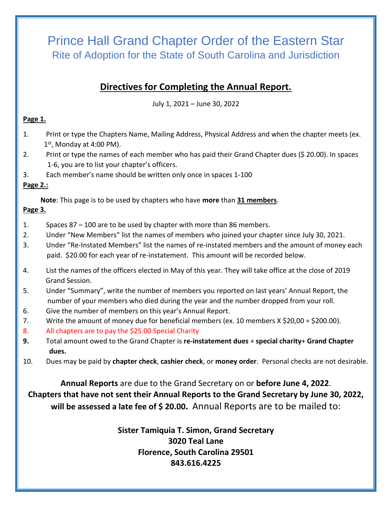# Prince Hall Grand Chapter Order of the Eastern Star Rite of Adoption for the State of South Carolina and Jurisdiction

## **Directives for Completing the Annual Report.**

July 1, 2021 – June 30, 2022

#### **Page 1.**

- 1. Print or type the Chapters Name, Mailing Address, Physical Address and when the chapter meets (ex.  $1<sup>st</sup>$ , Monday at 4:00 PM).
- 2. Print or type the names of each member who has paid their Grand Chapter dues (\$ 20.00). In spaces 1-6, you are to list your chapter's officers.
- 3. Each member's name should be written only once in spaces 1-100

### **Page 2.:**

 **Note**: This page is to be used by chapters who have **more** than **31 members**.

#### **Page 3.**

- 1. Spaces 87 100 are to be used by chapter with more than 86 members.
- 2. Under "New Members" list the names of members who joined your chapter since July 30, 2021.
- 3. Under "Re-Instated Members" list the names of re-instated members and the amount of money each paid. \$20.00 for each year of re-instatement. This amount will be recorded below.
- 4. List the names of the officers elected in May of this year. They will take office at the close of 2019 Grand Session.
- 5. Under "Summary", write the number of members you reported on last years' Annual Report, the number of your members who died during the year and the number dropped from your roll.
- 6. Give the number of members on this year's Annual Report.
- 7. Write the amount of money due for beneficial members (ex. 10 members X \$20,00 = \$200.00).
- 8. All chapters are to pay the \$25.00 Special Charity
- **9.** Total amount owed to the Grand Chapter is **re-instatement dues** + **special charity**+ **Grand Chapter dues.**
- 10. Dues may be paid by **chapter check**, **cashier check**, or **money order**. Personal checks are not desirable.

**Annual Reports** are due to the Grand Secretary on or **before June 4, 2022**. **Chapters that have not sent their Annual Reports to the Grand Secretary by June 30, 2022, will be assessed a late fee of \$ 20.00.** Annual Reports are to be mailed to:

> **Sister Tamiquia T. Simon, Grand Secretary 3020 Teal Lane Florence, South Carolina 29501 843.616.4225**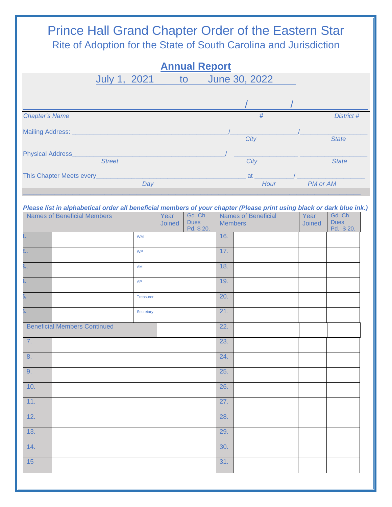#### Prince Hall Grand Chapter Order of the Eastern Star Rite of Adoption for the State of South Carolina and Jurisdiction **Annual Report** July 1, 2021\_\_ to June 30, 2022\_\_\_\_  $\mathcal{L} = \mathcal{L} = \mathcal{L} = \mathcal{L} = \mathcal{L} = \mathcal{L} = \mathcal{L} = \mathcal{L} = \mathcal{L} = \mathcal{L} = \mathcal{L} = \mathcal{L} = \mathcal{L} = \mathcal{L} = \mathcal{L} = \mathcal{L} = \mathcal{L} = \mathcal{L} = \mathcal{L} = \mathcal{L} = \mathcal{L} = \mathcal{L} = \mathcal{L} = \mathcal{L} = \mathcal{L} = \mathcal{L} = \mathcal{L} = \mathcal{L} = \mathcal{L} = \mathcal{L} = \mathcal{L} = \mathcal$ *Chapter's Name # District #*  Mailing Address: \_\_\_\_\_\_\_\_\_\_\_\_\_\_\_\_\_\_\_\_\_\_\_\_\_\_\_\_\_\_\_\_\_\_\_\_\_\_\_\_\_\_\_\_/\_\_\_\_\_\_\_\_\_\_\_\_\_\_\_\_\_\_\_/\_\_\_\_\_\_\_\_\_\_\_\_\_\_\_\_\_\_\_ *City State* Physical Address\_\_\_\_\_\_\_\_\_\_\_\_\_\_\_\_\_\_\_\_\_\_\_\_\_\_\_\_\_\_\_\_\_\_\_\_\_\_\_\_\_\_\_/ \_\_\_\_\_\_\_\_\_\_\_\_\_\_\_\_\_\_ \_\_\_\_\_\_\_\_\_\_\_\_\_\_\_\_\_\_\_ *Street City State* This Chapter Meets every\_\_\_\_\_\_\_\_\_\_\_\_\_\_\_\_\_\_\_\_\_\_\_\_\_\_\_\_\_\_\_\_\_\_\_\_\_\_\_\_\_\_ at \_\_\_\_\_\_\_\_\_\_\_/ \_\_\_\_\_\_\_\_\_\_\_\_\_\_\_\_\_\_\_ *Day Hour PM or AM \_\_\_\_\_\_\_\_\_\_\_\_\_\_\_\_\_\_\_\_\_\_\_\_\_\_\_\_\_\_\_\_\_\_\_\_\_\_\_\_\_\_\_\_\_\_\_\_\_\_\_\_\_\_\_\_\_\_\_\_\_\_\_\_\_\_\_\_\_\_\_\_\_\_\_\_\_\_\_\_\_\_\_\_\_\_\_\_\_\_\_\_\_\_\_ Please list in alphabetical order all beneficial members of your chapter (Please print using black or dark blue ink.)* Names of Beneficial Members **Year Joined** Gd. Ch. Dues Pd. \$ 20. Names of Beneficial **Members Year Joined** Gd. Ch. **Dues** Pd. \$ 20. **16. 16. 16. 16. 16. 16. 16. 16. 16. 16. 16. 16. 16. 16. 16. 16. 16. 16. 16. 16. 16. 16. 16. 16. 16. 16. 16. 16. 16. 16. 16. 16. 16. 16. 16. 16. 16.**

| ×                                   |  | $\ensuremath{\mathsf{WM}}\xspace$ |     | 16. |  |  |
|-------------------------------------|--|-----------------------------------|-----|-----|--|--|
| $\mathbf{L}$                        |  | <b>WP</b>                         |     | 17. |  |  |
| ).,                                 |  | $\mathsf{AM}$                     |     | 18. |  |  |
| н.                                  |  | AP                                |     | 19. |  |  |
| ν.                                  |  | Treasurer                         |     | 20. |  |  |
| ì.                                  |  | Secretary                         |     | 21. |  |  |
| <b>Beneficial Members Continued</b> |  |                                   | 22. |     |  |  |
| 7.                                  |  |                                   |     | 23. |  |  |
| 8.                                  |  |                                   |     | 24. |  |  |
| 9.                                  |  |                                   |     | 25. |  |  |
| 10.                                 |  |                                   |     | 26. |  |  |
| 11.                                 |  |                                   |     | 27. |  |  |
| 12.                                 |  |                                   |     | 28. |  |  |
| 13.                                 |  |                                   |     | 29. |  |  |
| 14.                                 |  |                                   |     | 30. |  |  |
| 15                                  |  |                                   |     | 31. |  |  |
|                                     |  |                                   |     |     |  |  |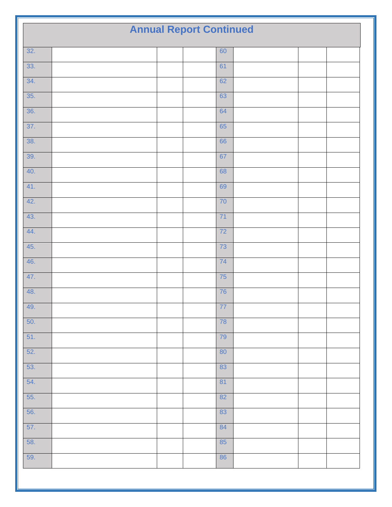| 32.<br>60<br>33.<br>61<br>34.<br>62<br>35.<br>63<br>36.<br>64<br>$\overline{37}$ .<br>65<br>38.<br>66<br>39.<br>67<br>40.<br>68<br>41.<br>69<br>42.<br>70<br>43.<br>71<br>44.<br>72<br>45.<br>73<br>46.<br>74<br>47.<br>75<br>48.<br>76<br>49.<br>77<br>50.<br>78<br>51.<br>79<br>52.<br>80<br>53.<br>83<br>54.<br>81<br>55.<br>82<br>56.<br>83<br>57.<br>84<br>58.<br>85<br>59.<br>86 | <b>Annual Report Continued</b> |  |  |  |  |  |
|----------------------------------------------------------------------------------------------------------------------------------------------------------------------------------------------------------------------------------------------------------------------------------------------------------------------------------------------------------------------------------------|--------------------------------|--|--|--|--|--|
|                                                                                                                                                                                                                                                                                                                                                                                        |                                |  |  |  |  |  |
|                                                                                                                                                                                                                                                                                                                                                                                        |                                |  |  |  |  |  |
|                                                                                                                                                                                                                                                                                                                                                                                        |                                |  |  |  |  |  |
|                                                                                                                                                                                                                                                                                                                                                                                        |                                |  |  |  |  |  |
|                                                                                                                                                                                                                                                                                                                                                                                        |                                |  |  |  |  |  |
|                                                                                                                                                                                                                                                                                                                                                                                        |                                |  |  |  |  |  |
|                                                                                                                                                                                                                                                                                                                                                                                        |                                |  |  |  |  |  |
|                                                                                                                                                                                                                                                                                                                                                                                        |                                |  |  |  |  |  |
|                                                                                                                                                                                                                                                                                                                                                                                        |                                |  |  |  |  |  |
|                                                                                                                                                                                                                                                                                                                                                                                        |                                |  |  |  |  |  |
|                                                                                                                                                                                                                                                                                                                                                                                        |                                |  |  |  |  |  |
|                                                                                                                                                                                                                                                                                                                                                                                        |                                |  |  |  |  |  |
|                                                                                                                                                                                                                                                                                                                                                                                        |                                |  |  |  |  |  |
|                                                                                                                                                                                                                                                                                                                                                                                        |                                |  |  |  |  |  |
|                                                                                                                                                                                                                                                                                                                                                                                        |                                |  |  |  |  |  |
|                                                                                                                                                                                                                                                                                                                                                                                        |                                |  |  |  |  |  |
|                                                                                                                                                                                                                                                                                                                                                                                        |                                |  |  |  |  |  |
|                                                                                                                                                                                                                                                                                                                                                                                        |                                |  |  |  |  |  |
|                                                                                                                                                                                                                                                                                                                                                                                        |                                |  |  |  |  |  |
|                                                                                                                                                                                                                                                                                                                                                                                        |                                |  |  |  |  |  |
|                                                                                                                                                                                                                                                                                                                                                                                        |                                |  |  |  |  |  |
|                                                                                                                                                                                                                                                                                                                                                                                        |                                |  |  |  |  |  |
|                                                                                                                                                                                                                                                                                                                                                                                        |                                |  |  |  |  |  |
|                                                                                                                                                                                                                                                                                                                                                                                        |                                |  |  |  |  |  |
|                                                                                                                                                                                                                                                                                                                                                                                        |                                |  |  |  |  |  |
|                                                                                                                                                                                                                                                                                                                                                                                        |                                |  |  |  |  |  |
|                                                                                                                                                                                                                                                                                                                                                                                        |                                |  |  |  |  |  |
|                                                                                                                                                                                                                                                                                                                                                                                        |                                |  |  |  |  |  |